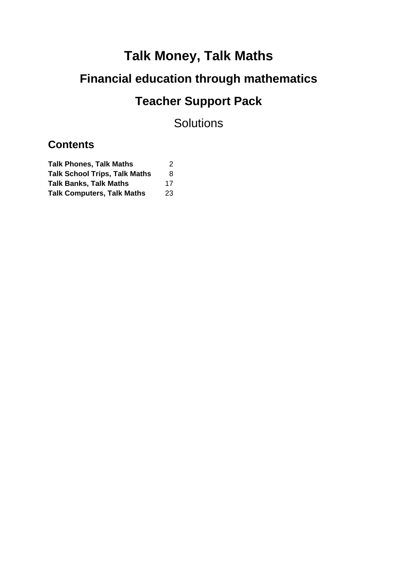# **Talk Money, Talk Maths**

# **Financial education through mathematics**

# **Teacher Support Pack**

**Solutions** 

## **Contents**

| <b>Talk Phones, Talk Maths</b>       | 2  |
|--------------------------------------|----|
| <b>Talk School Trips, Talk Maths</b> | 8  |
| <b>Talk Banks, Talk Maths</b>        | 17 |
| <b>Talk Computers, Talk Maths</b>    | 23 |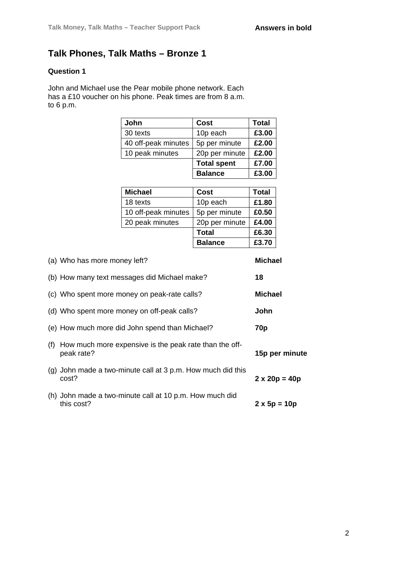### **Talk Phones, Talk Maths – Bronze 1**

### **Question 1**

John and Michael use the Pear mobile phone network. Each has a £10 voucher on his phone. Peak times are from 8 a.m. to 6 p.m.

| John                | Cost               | <b>Total</b> |
|---------------------|--------------------|--------------|
| 30 texts            | 10p each           | £3.00        |
| 40 off-peak minutes | 5p per minute      | £2.00        |
| 10 peak minutes     | 20p per minute     | £2.00        |
|                     | <b>Total spent</b> | £7.00        |
|                     | <b>Balance</b>     | £3.00        |
|                     |                    |              |
| <b>Michael</b>      | Cost               | <b>Total</b> |
| 18 texts            | 10p each           | £1.80        |
| 10 off-peak minutes | 5p per minute      | £0.50        |

20 peak minutes 20p per minute **£4.00**

**Total £6.30**

|     |                                                                        | <b>Balance</b> | £3.70               |                      |
|-----|------------------------------------------------------------------------|----------------|---------------------|----------------------|
|     | (a) Who has more money left?                                           |                | Michael             |                      |
|     | (b) How many text messages did Michael make?                           |                | 18                  |                      |
|     | (c) Who spent more money on peak-rate calls?                           |                | <b>Michael</b>      |                      |
|     | (d) Who spent more money on off-peak calls?                            |                | John                |                      |
|     | (e) How much more did John spend than Michael?                         |                | 70 <sub>p</sub>     |                      |
| (f) | How much more expensive is the peak rate than the off-<br>peak rate?   |                |                     | 15p per minute       |
|     | $(q)$ John made a two-minute call at 3 p.m. How much did this<br>cost? |                |                     | $2 \times 20p = 40p$ |
|     | (h) John made a two-minute call at 10 p.m. How much did<br>this cost?  |                | $2 \times 5p = 10p$ |                      |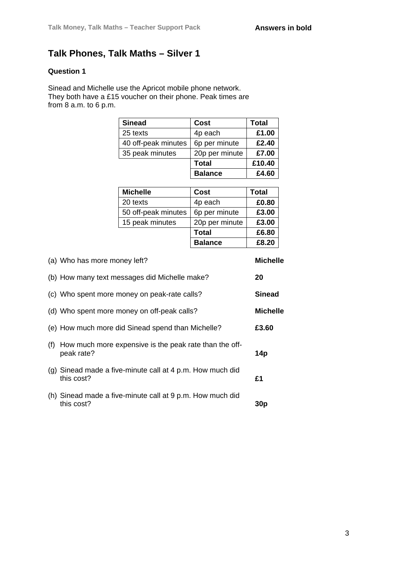### **Talk Phones, Talk Maths – Silver 1**

### **Question 1**

Sinead and Michelle use the Apricot mobile phone network. They both have a £15 voucher on their phone. Peak times are from 8 a.m. to 6 p.m.

| <b>Sinead</b>       | Cost           | Total  |
|---------------------|----------------|--------|
| 25 texts            | 4p each        | £1.00  |
| 40 off-peak minutes | 6p per minute  | £2.40  |
| 35 peak minutes     | 20p per minute | £7.00  |
|                     | <b>Total</b>   | £10.40 |
|                     | <b>Balance</b> | £4.60  |

| <b>Michelle</b>     | Cost           | Total |
|---------------------|----------------|-------|
| 20 texts            | 4p each        | £0.80 |
| 50 off-peak minutes | 6p per minute  | £3.00 |
| 15 peak minutes     | 20p per minute | £3.00 |
|                     | <b>Total</b>   | £6.80 |
|                     | <b>Balance</b> | £8.20 |

|     | (a) Who has more money left?                                            | <b>Michelle</b> |
|-----|-------------------------------------------------------------------------|-----------------|
|     | (b) How many text messages did Michelle make?                           | 20              |
|     | (c) Who spent more money on peak-rate calls?                            | <b>Sinead</b>   |
|     | (d) Who spent more money on off-peak calls?                             | <b>Michelle</b> |
|     | (e) How much more did Sinead spend than Michelle?                       | £3.60           |
| (f) | How much more expensive is the peak rate than the off-<br>peak rate?    | 14p             |
|     | (g) Sinead made a five-minute call at 4 p.m. How much did<br>this cost? | £1              |
|     | (h) Sinead made a five-minute call at 9 p.m. How much did<br>this cost? | 30 <sub>p</sub> |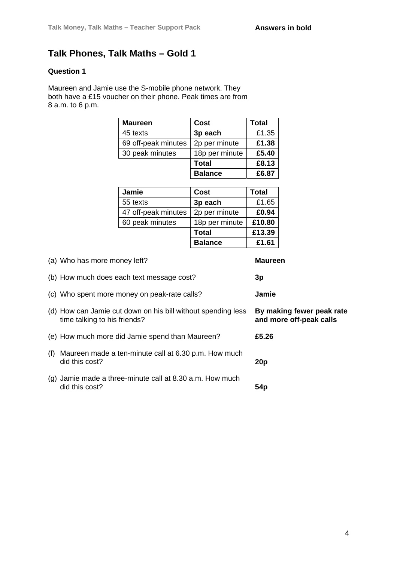### **Talk Phones, Talk Maths – Gold 1**

### **Question 1**

Maureen and Jamie use the S-mobile phone network. They both have a £15 voucher on their phone. Peak times are from 8 a.m. to 6 p.m.

| <b>Maureen</b>      | Cost           | <b>Total</b> |
|---------------------|----------------|--------------|
| 45 texts            | 3p each        | £1.35        |
| 69 off-peak minutes | 2p per minute  | £1.38        |
| 30 peak minutes     | 18p per minute | £5.40        |
|                     | <b>Total</b>   | £8.13        |
|                     | <b>Balance</b> | £6.87        |

| Jamie               | Cost           | <b>Total</b> |
|---------------------|----------------|--------------|
| 55 texts            | 3p each        | £1.65        |
| 47 off-peak minutes | 2p per minute  | £0.94        |
| 60 peak minutes     | 18p per minute | £10.80       |
|                     | <b>Total</b>   | £13.39       |
|                     | <b>Balance</b> | £1.61        |

| (a) Who has more money left?                                                                 | <b>Maureen</b>                                       |
|----------------------------------------------------------------------------------------------|------------------------------------------------------|
| (b) How much does each text message cost?                                                    | 3p                                                   |
| (c) Who spent more money on peak-rate calls?                                                 | Jamie                                                |
| (d) How can Jamie cut down on his bill without spending less<br>time talking to his friends? | By making fewer peak rate<br>and more off-peak calls |
| (e) How much more did Jamie spend than Maureen?                                              | £5.26                                                |
| (f) Maureen made a ten-minute call at 6.30 p.m. How much<br>did this cost?                   | 20p                                                  |
| $(g)$ Jamie made a three-minute call at 8.30 a.m. How much<br>did this cost?                 | 54p                                                  |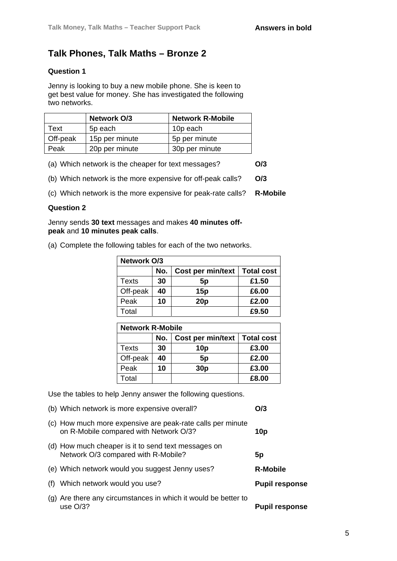### **Talk Phones, Talk Maths – Bronze 2**

### **Question 1**

Jenny is looking to buy a new mobile phone. She is keen to get best value for money. She has investigated the following two networks.

|          | <b>Network O/3</b> | <b>Network R-Mobile</b> |
|----------|--------------------|-------------------------|
| Text     | 5p each            | 10p each                |
| Off-peak | 15p per minute     | 5p per minute           |
| Peak     | 20p per minute     | 30p per minute          |

(a) Which network is the cheaper for text messages? **O/3**

(b) Which network is the more expensive for off-peak calls? **O/3**

(c) Which network is the more expensive for peak-rate calls? **R-Mobile**

#### **Question 2**

Jenny sends **30 text** messages and makes **40 minutes offpeak** and **10 minutes peak calls**.

|  | (a) Complete the following tables for each of the two networks. |  |  |  |
|--|-----------------------------------------------------------------|--|--|--|

| <b>Network O/3</b> |     |                   |                   |  |  |
|--------------------|-----|-------------------|-------------------|--|--|
|                    | No. | Cost per min/text | <b>Total cost</b> |  |  |
| Texts              | 30  | 5p                | £1.50             |  |  |
| Off-peak           | 40  | 15p               | £6.00             |  |  |
| Peak               | 10  | 20p               | £2.00             |  |  |
| Total              |     |                   | £9.50             |  |  |

| <b>Network R-Mobile</b> |     |                   |                   |
|-------------------------|-----|-------------------|-------------------|
|                         | No. | Cost per min/text | <b>Total cost</b> |
| Texts                   | 30  | 10p               | £3.00             |
| Off-peak                | 40  | 5 <sub>p</sub>    | £2.00             |
| Peak                    | 10  | 30 <sub>p</sub>   | £3.00             |
| Total                   |     |                   | £8.00             |

Use the tables to help Jenny answer the following questions.

|     | (b) Which network is more expensive overall?                                                         | O/3                   |
|-----|------------------------------------------------------------------------------------------------------|-----------------------|
|     | (c) How much more expensive are peak-rate calls per minute<br>on R-Mobile compared with Network O/3? | 10p                   |
|     | (d) How much cheaper is it to send text messages on<br>Network O/3 compared with R-Mobile?           | 5p                    |
|     | (e) Which network would you suggest Jenny uses?                                                      | <b>R-Mobile</b>       |
| (f) | Which network would you use?                                                                         | <b>Pupil response</b> |
|     | (g) Are there any circumstances in which it would be better to<br>use $O/3?$                         | <b>Pupil response</b> |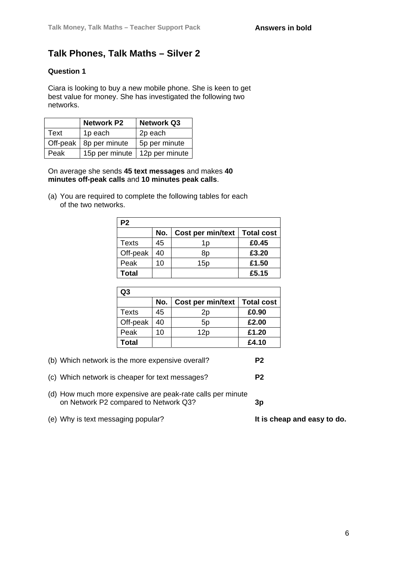### **Talk Phones, Talk Maths – Silver 2**

### **Question 1**

Ciara is looking to buy a new mobile phone. She is keen to get best value for money. She has investigated the following two networks.

|                 | <b>Network P2</b>        | <b>Network Q3</b>               |
|-----------------|--------------------------|---------------------------------|
| Text<br>1p each |                          | 2p each                         |
|                 | Off-peak   8p per minute | 5p per minute                   |
| Peak            |                          | 15p per minute   12p per minute |

On average she sends **45 text messages** and makes **40 minutes off-peak calls** and **10 minutes peak calls**.

(a) You are required to complete the following tables for each of the two networks.

| P <sub>2</sub> |     |                   |                   |
|----------------|-----|-------------------|-------------------|
|                | No. | Cost per min/text | <b>Total cost</b> |
| <b>Texts</b>   | 45  | 1p                | £0.45             |
| Off-peak       | 40  | 8p                | £3.20             |
| Peak           | 10  | 15p               | £1.50             |
| Total          |     |                   | £5.15             |

| Q3       |     |                                |       |
|----------|-----|--------------------------------|-------|
|          | No. | Cost per min/text   Total cost |       |
| Texts    | 45  | 2p                             | £0.90 |
| Off-peak | 40  | 5p                             | £2.00 |
| Peak     | 10  | 12p                            | £1.20 |
| Total    |     |                                | £4.10 |

(b) Which network is the more expensive overall? **P2**

(c) Which network is cheaper for text messages? **P2**

- (d) How much more expensive are peak-rate calls per minute on Network P2 compared to Network Q3? **3p**
- (e) Why is text messaging popular? **It is cheap and easy to do.**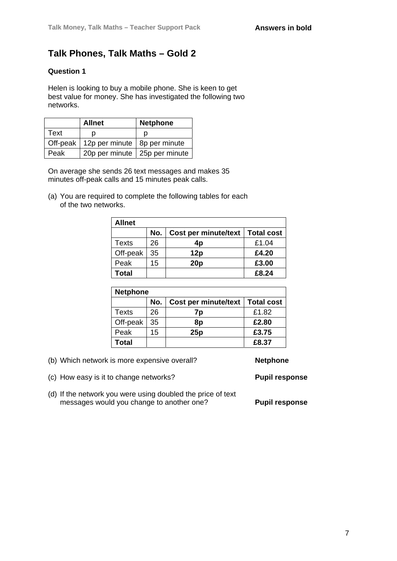### **Talk Phones, Talk Maths – Gold 2**

### **Question 1**

Helen is looking to buy a mobile phone. She is keen to get best value for money. She has investigated the following two networks.

|      | <b>Allnet</b>                             | <b>Netphone</b>                 |
|------|-------------------------------------------|---------------------------------|
| Text |                                           |                                 |
|      | Off-peak   12p per minute   8p per minute |                                 |
| Peak |                                           | 20p per minute   25p per minute |

On average she sends 26 text messages and makes 35 minutes off-peak calls and 15 minutes peak calls.

(a) You are required to complete the following tables for each of the two networks.

| Allnet   |     |                      |                   |
|----------|-----|----------------------|-------------------|
|          | No. | Cost per minute/text | <b>Total cost</b> |
| Texts    | 26  | 4p                   | £1.04             |
| Off-peak | 35  | 12p                  | £4.20             |
| Peak     | 15  | 20p                  | £3.00             |
| Total    |     |                      | £8.24             |

| <b>Netphone</b> |     |                             |                   |  |
|-----------------|-----|-----------------------------|-------------------|--|
|                 | No. | <b>Cost per minute/text</b> | <b>Total cost</b> |  |
| Texts           | 26  | 7p                          | £1.82             |  |
| Off-peak        | 35  | 8p                          | £2.80             |  |
| Peak            | 15  | 25p                         | £3.75             |  |
| Total           |     |                             | £8.37             |  |

(b) Which network is more expensive overall? **Netphone**

(c) How easy is it to change networks? **Pupil response** 

(d) If the network you were using doubled the price of text messages would you change to another one? **Pupil response**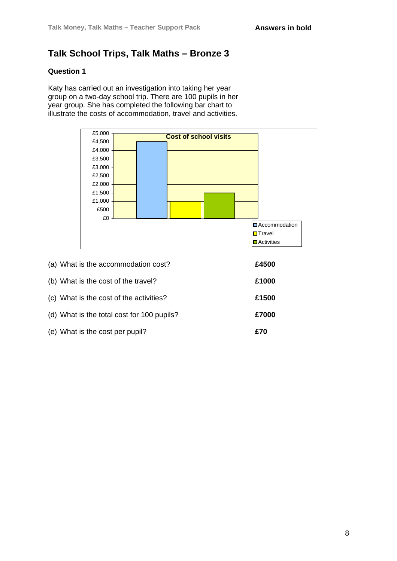### **Talk School Trips, Talk Maths – Bronze 3**

### **Question 1**

Katy has carried out an investigation into taking her year group on a two-day school trip. There are 100 pupils in her year group. She has completed the following bar chart to illustrate the costs of accommodation, travel and activities.



| (a) What is the accommodation cost?        | £4500 |
|--------------------------------------------|-------|
| (b) What is the cost of the travel?        | £1000 |
| (c) What is the cost of the activities?    | £1500 |
| (d) What is the total cost for 100 pupils? | £7000 |
| (e) What is the cost per pupil?            | £70   |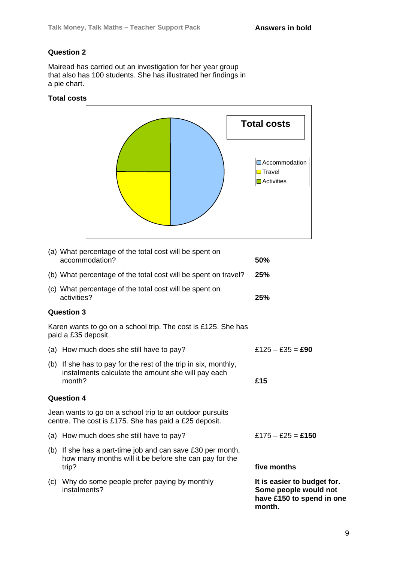Mairead has carried out an investigation for her year group that also has 100 students. She has illustrated her findings in a pie chart.

#### **Total costs**



|     | (b) What percentage of the total cost will be spent on travel?                                                                  | 25%                                                                               |
|-----|---------------------------------------------------------------------------------------------------------------------------------|-----------------------------------------------------------------------------------|
|     | (c) What percentage of the total cost will be spent on<br>activities?                                                           | 25%                                                                               |
|     | <b>Question 3</b>                                                                                                               |                                                                                   |
|     | Karen wants to go on a school trip. The cost is £125. She has<br>paid a £35 deposit.                                            |                                                                                   |
|     | (a) How much does she still have to pay?                                                                                        | £125 – £35 = <b>£90</b>                                                           |
|     | (b) If she has to pay for the rest of the trip in six, monthly,<br>instalments calculate the amount she will pay each<br>month? | £15                                                                               |
|     | <b>Question 4</b>                                                                                                               |                                                                                   |
|     | Jean wants to go on a school trip to an outdoor pursuits<br>centre. The cost is £175. She has paid a £25 deposit.               |                                                                                   |
|     | (a) How much does she still have to pay?                                                                                        | £175 – £25 = £150                                                                 |
|     | (b) If she has a part-time job and can save $£30$ per month,<br>how many months will it be before she can pay for the<br>trip?  | five months                                                                       |
| (c) | Why do some people prefer paying by monthly<br>instalments?                                                                     | It is easier to budget for.<br>Some people would not<br>have £150 to spend in one |

**month.**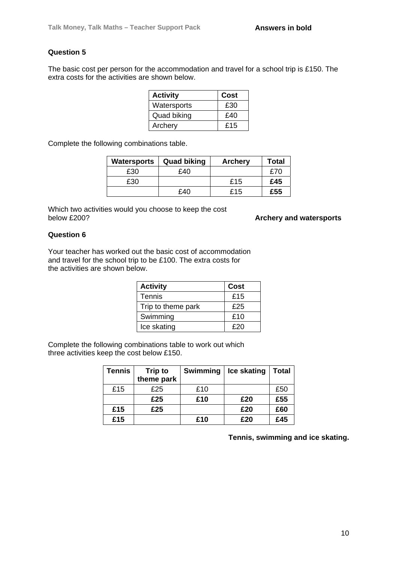The basic cost per person for the accommodation and travel for a school trip is £150. The extra costs for the activities are shown below.

| <b>Activity</b> | Cost |
|-----------------|------|
| Watersports     | £30  |
| Quad biking     | £40  |
| Archery         | £15  |

Complete the following combinations table.

| Watersports | <b>Quad biking</b> | <b>Archery</b> | Total |
|-------------|--------------------|----------------|-------|
| £30         | £40                |                | £70   |
| £30         |                    | £15            | £45   |
|             | £40                | £15            | £55   |

Which two activities would you choose to keep the cost<br>below £200?

**Archery and watersports** 

#### **Question 6**

Your teacher has worked out the basic cost of accommodation and travel for the school trip to be £100. The extra costs for the activities are shown below.

| <b>Activity</b>    | Cost |
|--------------------|------|
| <b>Tennis</b>      | £15  |
| Trip to theme park | £25  |
| Swimming           | £10  |
| Ice skating        | £20  |

Complete the following combinations table to work out which three activities keep the cost below £150.

| <b>Tennis</b> | <b>Trip to</b><br>theme park | Swimming | Ice skating | Total |
|---------------|------------------------------|----------|-------------|-------|
| £15           | £25                          | £10      |             | £50   |
|               | £25                          | £10      | £20         | £55   |
| £15           | £25                          |          | £20         | £60   |
| £15           |                              | £10      | £20         | £45   |

**Tennis, swimming and ice skating.**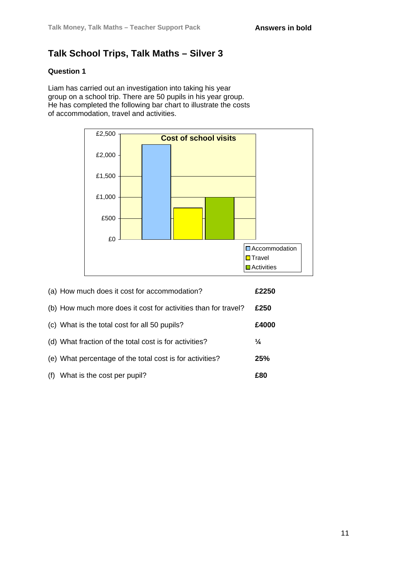### **Talk School Trips, Talk Maths – Silver 3**

### **Question 1**

Liam has carried out an investigation into taking his year group on a school trip. There are 50 pupils in his year group. He has completed the following bar chart to illustrate the costs of accommodation, travel and activities.



|     | (a) How much does it cost for accommodation?                   | £2250         |
|-----|----------------------------------------------------------------|---------------|
|     | (b) How much more does it cost for activities than for travel? | £250          |
|     | (c) What is the total cost for all 50 pupils?                  | £4000         |
|     | (d) What fraction of the total cost is for activities?         | $\frac{1}{4}$ |
|     | (e) What percentage of the total cost is for activities?       | 25%           |
| (f) | What is the cost per pupil?                                    | £80           |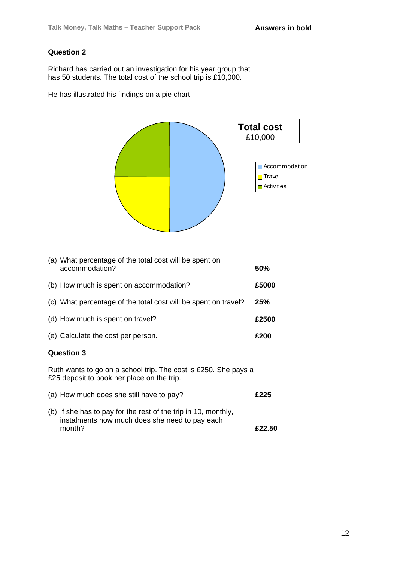Richard has carried out an investigation for his year group that has 50 students. The total cost of the school trip is £10,000.

He has illustrated his findings on a pie chart.



| (a) What percentage of the total cost will be spent on<br>accommodation? | 50%        |
|--------------------------------------------------------------------------|------------|
| (b) How much is spent on accommodation?                                  | £5000      |
| (c) What percentage of the total cost will be spent on travel?           | <b>25%</b> |
| (d) How much is spent on travel?                                         | £2500      |
| (e) Calculate the cost per person.                                       | £200       |
|                                                                          |            |

#### **Question 3**

Ruth wants to go on a school trip. The cost is £250. She pays a £25 deposit to book her place on the trip.

| (a) How much does she still have to pay?                                                                         | £225   |
|------------------------------------------------------------------------------------------------------------------|--------|
| (b) If she has to pay for the rest of the trip in 10, monthly,<br>instalments how much does she need to pay each |        |
| month?                                                                                                           | £22.50 |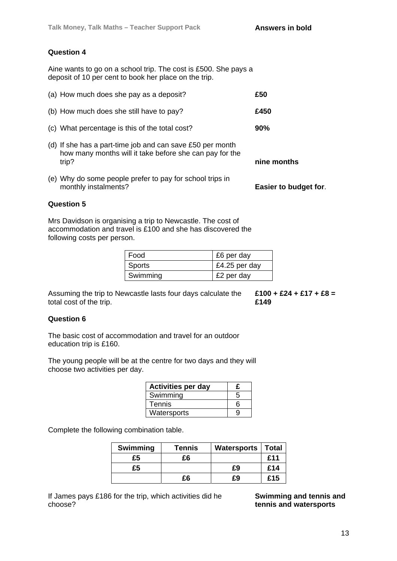Aine wants to go on a school trip. The cost is £500. She pays a deposit of 10 per cent to book her place on the trip.

| (a) How much does she pay as a deposit?                                                                                       | £50                   |
|-------------------------------------------------------------------------------------------------------------------------------|-----------------------|
| (b) How much does she still have to pay?                                                                                      | £450                  |
| (c) What percentage is this of the total cost?                                                                                | 90%                   |
| (d) If she has a part-time job and can save £50 per month<br>how many months will it take before she can pay for the<br>trip? | nine months           |
| (e) Why do some people prefer to pay for school trips in<br>monthly instalments?                                              | Easier to budget for. |

#### **Question 5**

Mrs Davidson is organising a trip to Newcastle. The cost of accommodation and travel is £100 and she has discovered the following costs per person.

| l Food   | £6 per day    |  |
|----------|---------------|--|
| Sports   | £4.25 per day |  |
| Swimming | £2 per day    |  |

Assuming the trip to Newcastle lasts four days calculate the total cost of the trip.

**£100 + £24 + £17 + £8 = £149** 

#### **Question 6**

The basic cost of accommodation and travel for an outdoor education trip is £160.

The young people will be at the centre for two days and they will choose two activities per day.

| <b>Activities per day</b> | £ |
|---------------------------|---|
| Swimming                  | 5 |
| <b>Tennis</b>             | հ |
| Watersports               | 9 |

Complete the following combination table.

| <b>Swimming</b> | <b>Tennis</b> | <b>Watersports</b> | Total |
|-----------------|---------------|--------------------|-------|
| £5              | £6            |                    | £11   |
| £5              |               | £9                 | £14   |
|                 | £6            | £9                 | £15   |

If James pays £186 for the trip, which activities did he choose?

**Swimming and tennis and tennis and watersports**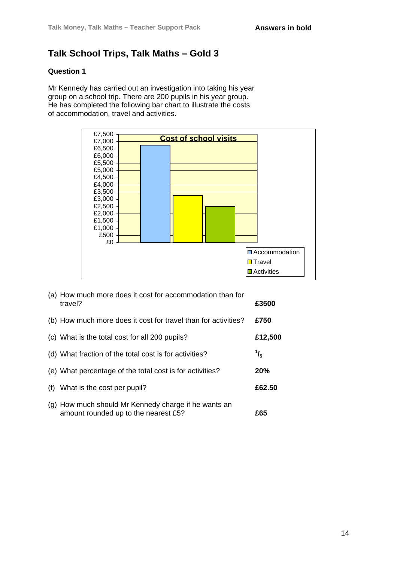### **Talk School Trips, Talk Maths – Gold 3**

### **Question 1**

Mr Kennedy has carried out an investigation into taking his year group on a school trip. There are 200 pupils in his year group. He has completed the following bar chart to illustrate the costs of accommodation, travel and activities.



|     | (a) How much more does it cost for accommodation than for<br>travel?                         | £3500         |
|-----|----------------------------------------------------------------------------------------------|---------------|
|     | (b) How much more does it cost for travel than for activities?                               | £750          |
|     | (c) What is the total cost for all 200 pupils?                                               | £12,500       |
|     | (d) What fraction of the total cost is for activities?                                       | $\frac{1}{5}$ |
|     | (e) What percentage of the total cost is for activities?                                     | <b>20%</b>    |
| (f) | What is the cost per pupil?                                                                  | £62.50        |
|     | (g) How much should Mr Kennedy charge if he wants an<br>amount rounded up to the nearest £5? | £65           |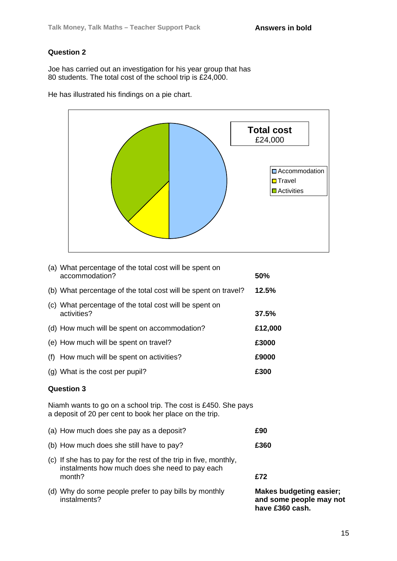Joe has carried out an investigation for his year group that has 80 students. The total cost of the school trip is £24,000.

He has illustrated his findings on a pie chart.



| (a) What percentage of the total cost will be spent on<br>accommodation? | 50%     |
|--------------------------------------------------------------------------|---------|
|                                                                          |         |
| (b) What percentage of the total cost will be spent on travel?           | 12.5%   |
| (c) What percentage of the total cost will be spent on                   |         |
| activities?                                                              | 37.5%   |
| (d) How much will be spent on accommodation?                             | £12,000 |
| (e) How much will be spent on travel?                                    | £3000   |
| (f) How much will be spent on activities?                                | £9000   |
| (g) What is the cost per pupil?                                          | £300    |

#### **Question 3**

Niamh wants to go on a school trip. The cost is £450. She pays a deposit of 20 per cent to book her place on the trip.

| (d) Why do some people prefer to pay bills by monthly<br>instalments?                                                        | <b>Makes budgeting easier;</b><br>and some people may not<br>have £360 cash. |
|------------------------------------------------------------------------------------------------------------------------------|------------------------------------------------------------------------------|
| (c) If she has to pay for the rest of the trip in five, monthly,<br>instalments how much does she need to pay each<br>month? | £72                                                                          |
| (b) How much does she still have to pay?                                                                                     | £360                                                                         |
| (a) How much does she pay as a deposit?                                                                                      | £90                                                                          |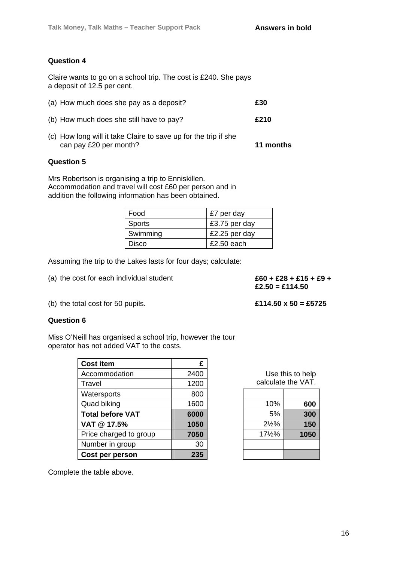Claire wants to go on a school trip. The cost is £240. She pays a deposit of 12.5 per cent.

| (a) How much does she pay as a deposit?                                                   | £30       |
|-------------------------------------------------------------------------------------------|-----------|
| (b) How much does she still have to pay?                                                  | £210      |
| (c) How long will it take Claire to save up for the trip if she<br>can pay £20 per month? | 11 months |

#### **Question 5**

Mrs Robertson is organising a trip to Enniskillen. Accommodation and travel will cost £60 per person and in addition the following information has been obtained.

| Food          | £7 per day    |
|---------------|---------------|
| <b>Sports</b> | £3.75 per day |
| Swimming      | £2.25 per day |
| Disco         | $£2.50$ each  |

Assuming the trip to the Lakes lasts for four days; calculate:

(a) the cost for each individual student  $£60 + £28 + £15 + £9 +$ 

**£2.50 = £114.50**

(b) the total cost for 50 pupils. **£114.50 x 50 = £5725**

#### **Question 6**

Miss O'Neill has organised a school trip, however the tour operator has not added VAT to the costs.

| <b>Cost item</b>        | £    |                  |                    |
|-------------------------|------|------------------|--------------------|
| Accommodation           | 2400 |                  | Use this to help   |
| Travel                  | 1200 |                  | calculate the VAT. |
| Watersports             | 800  |                  |                    |
| Quad biking             | 1600 | 10%              | 600                |
| <b>Total before VAT</b> | 6000 | 5%               | 300                |
| VAT @ 17.5%             | 1050 | $2\frac{1}{2}\%$ | 150                |
| Price charged to group  | 7050 | 171/2%           | 1050               |
| Number in group         | 30   |                  |                    |
| Cost per person         | 235  |                  |                    |

| Use this to help<br>calculate the VAT. |      |  |
|----------------------------------------|------|--|
|                                        |      |  |
| 10%                                    | 600  |  |
| 5%                                     | 300  |  |
| $2\frac{1}{9}$                         | 150  |  |
| $17\frac{1}{9}$                        | 1050 |  |
|                                        |      |  |
|                                        |      |  |

Complete the table above.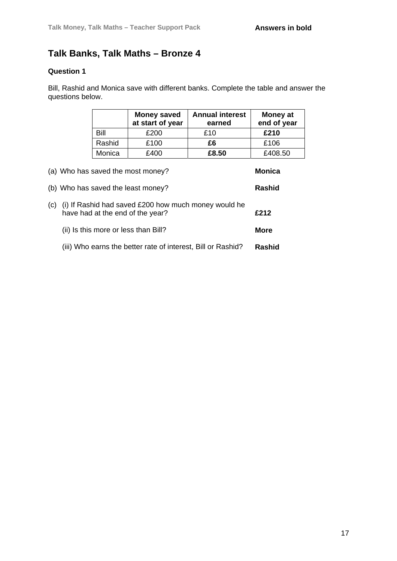### **Talk Banks, Talk Maths – Bronze 4**

### **Question 1**

Bill, Rashid and Monica save with different banks. Complete the table and answer the questions below.

|                                                                         |                                                                                                  | <b>Money saved</b><br>at start of year | <b>Annual interest</b><br>earned | <b>Money at</b><br>end of year |  |
|-------------------------------------------------------------------------|--------------------------------------------------------------------------------------------------|----------------------------------------|----------------------------------|--------------------------------|--|
|                                                                         | Bill                                                                                             | £200                                   | £10                              | £210                           |  |
|                                                                         | Rashid                                                                                           | £100                                   | £6                               | £106                           |  |
|                                                                         | Monica                                                                                           | £400                                   | £8.50                            | £408.50                        |  |
| (a) Who has saved the most money?<br>(b) Who has saved the least money? |                                                                                                  |                                        |                                  | <b>Monica</b><br><b>Rashid</b> |  |
| (c)                                                                     | (i) If Rashid had saved £200 how much money would he<br>£212<br>have had at the end of the year? |                                        |                                  |                                |  |
|                                                                         | <b>More</b><br>(ii) Is this more or less than Bill?                                              |                                        |                                  |                                |  |
|                                                                         | <b>Rashid</b><br>(iii) Who earns the better rate of interest, Bill or Rashid?                    |                                        |                                  |                                |  |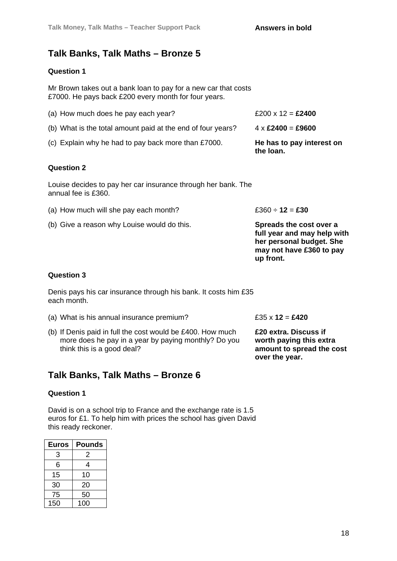### **Talk Banks, Talk Maths – Bronze 5**

### **Question 1**

Mr Brown takes out a bank loan to pay for a new car that costs £7000. He pays back £200 every month for four years.

| (a) How much does he pay each year?                         | £200 x 12 = <b>£2400</b>                           |
|-------------------------------------------------------------|----------------------------------------------------|
| (b) What is the total amount paid at the end of four years? | $4 \times \text{\pounds}2400 = \text{\pounds}9600$ |
| (c) Explain why he had to pay back more than £7000.         | He has to pay interest on<br>the loan.             |

#### **Question 2**

Louise decides to pay her car insurance through her bank. The annual fee is £360.

- (a) How much will she pay each month?  $£360 \div 12 = £30$
- (b) Give a reason why Louise would do this. **Spreads the cost over a**

**full year and may help with her personal budget. She may not have £360 to pay up front.**

#### **Question 3**

Denis pays his car insurance through his bank. It costs him £35 each month.

- (a) What is his annual insurance premium? £35 x **12** = **£420**
- (b) If Denis paid in full the cost would be £400. How much more does he pay in a year by paying monthly? Do you think this is a good deal?

### **Talk Banks, Talk Maths – Bronze 6**

#### **Question 1**

David is on a school trip to France and the exchange rate is 1.5 euros for £1. To help him with prices the school has given David this ready reckoner.

| Euros | Pounds |
|-------|--------|
| 3     | 2      |
| 6     | 4      |
| 15    | 10     |
| 30    | 20     |
| 75    | 50     |
| 150   | 100    |

**£20 extra. Discuss if worth paying this extra amount to spread the cost over the year.**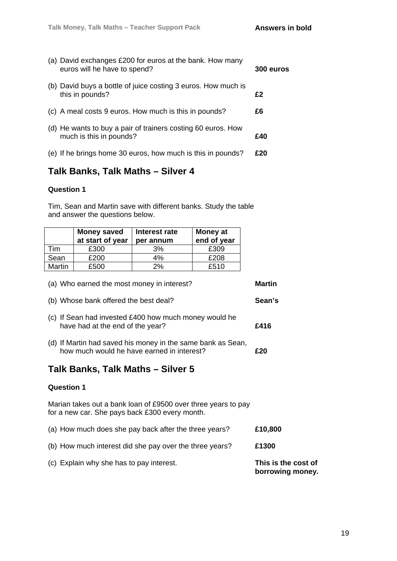| (a) David exchanges £200 for euros at the bank. How many<br>euros will he have to spend? | 300 euros |
|------------------------------------------------------------------------------------------|-----------|
| (b) David buys a bottle of juice costing 3 euros. How much is<br>this in pounds?         | £2        |
| (c) A meal costs 9 euros. How much is this in pounds?                                    | £6        |
| (d) He wants to buy a pair of trainers costing 60 euros. How<br>much is this in pounds?  | £40       |
| (e) If he brings home 30 euros, how much is this in pounds?                              | £20       |

### **Talk Banks, Talk Maths – Silver 4**

#### **Question 1**

Tim, Sean and Martin save with different banks. Study the table and answer the questions below.

|               | <b>Money saved</b><br>at start of year | Interest rate<br>per annum | <b>Money at</b><br>end of year |
|---------------|----------------------------------------|----------------------------|--------------------------------|
| Tim           | £300                                   | 3%                         | £309                           |
| Sean          | £200                                   | 4%                         | £208                           |
| <b>Martin</b> | £500                                   | 2%                         | £510                           |

| (a) Who earned the most money in interest? | Martin |
|--------------------------------------------|--------|
|--------------------------------------------|--------|

- (b) Whose bank offered the best deal? **Sean's**
- (c) If Sean had invested £400 how much money would he have had at the end of the year? **£416**
- (d) If Martin had saved his money in the same bank as Sean, how much would he have earned in interest? **£20**

### **Talk Banks, Talk Maths – Silver 5**

#### **Question 1**

Marian takes out a bank loan of £9500 over three years to pay for a new car. She pays back £300 every month.

- (a) How much does she pay back after the three years? **£10,800** (b) How much interest did she pay over the three years? **£1300**
- (c) Explain why she has to pay interest. **This is the cost of borrowing money.**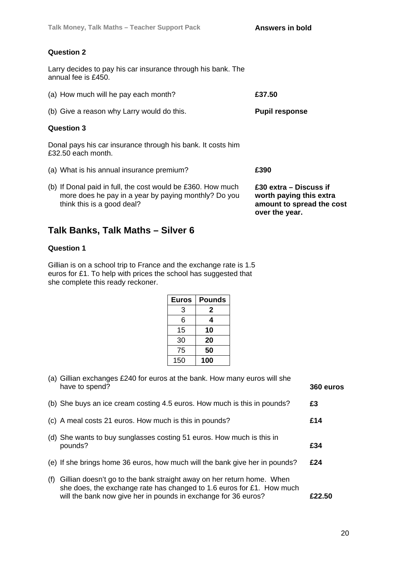Larry decides to pay his car insurance through his bank. The annual fee is £450.

| (a) How much will he pay each month?                                                                                                              | £37.50                                                                                           |
|---------------------------------------------------------------------------------------------------------------------------------------------------|--------------------------------------------------------------------------------------------------|
| (b) Give a reason why Larry would do this.                                                                                                        | <b>Pupil response</b>                                                                            |
| <b>Question 3</b>                                                                                                                                 |                                                                                                  |
| Donal pays his car insurance through his bank. It costs him<br>£32.50 each month.                                                                 |                                                                                                  |
| (a) What is his annual insurance premium?                                                                                                         | £390                                                                                             |
| (b) If Donal paid in full, the cost would be £360. How much<br>more does he pay in a year by paying monthly? Do you<br>think this is a good deal? | £30 extra – Discuss if<br>worth paying this extra<br>amount to spread the cost<br>over the year. |

### **Talk Banks, Talk Maths – Silver 6**

### **Question 1**

Gillian is on a school trip to France and the exchange rate is 1.5 euros for £1. To help with prices the school has suggested that she complete this ready reckoner.

| <b>Euros</b> | Pounds |
|--------------|--------|
| 3            | 2      |
| 6            | 4      |
| 15           | 10     |
| 30           | 20     |
| 75           | 50     |
| 150          | 100    |

|     | (a) Gillian exchanges £240 for euros at the bank. How many euros will she                                                                                                                                        |           |
|-----|------------------------------------------------------------------------------------------------------------------------------------------------------------------------------------------------------------------|-----------|
|     | have to spend?                                                                                                                                                                                                   | 360 euros |
|     | (b) She buys an ice cream costing 4.5 euros. How much is this in pounds?                                                                                                                                         | £3        |
|     | (c) A meal costs 21 euros. How much is this in pounds?                                                                                                                                                           | £14       |
|     | (d) She wants to buy sunglasses costing 51 euros. How much is this in<br>pounds?                                                                                                                                 | £34       |
|     | (e) If she brings home 36 euros, how much will the bank give her in pounds?                                                                                                                                      | £24       |
| (f) | Gillian doesn't go to the bank straight away on her return home. When<br>she does, the exchange rate has changed to 1.6 euros for £1. How much<br>will the bank now give her in pounds in exchange for 36 euros? | £22.50    |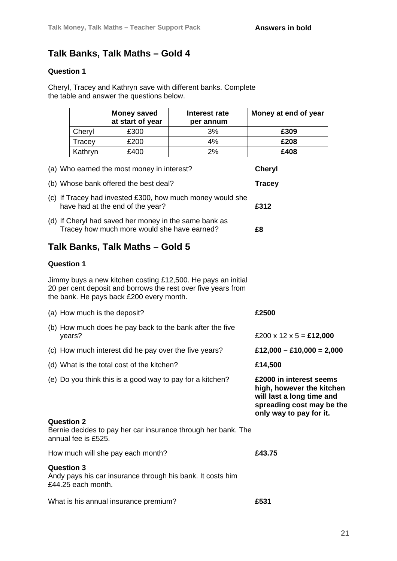### **Talk Banks, Talk Maths – Gold 4**

### **Question 1**

Cheryl, Tracey and Kathryn save with different banks. Complete the table and answer the questions below.

|                                          | <b>Money saved</b><br>at start of year                                                               | Interest rate<br>per annum                                                                                                    | Money at end of year                                                                                                                      |
|------------------------------------------|------------------------------------------------------------------------------------------------------|-------------------------------------------------------------------------------------------------------------------------------|-------------------------------------------------------------------------------------------------------------------------------------------|
| Cheryl                                   | £300                                                                                                 | 3%                                                                                                                            | £309                                                                                                                                      |
| Tracey                                   | £200                                                                                                 | 4%                                                                                                                            | £208                                                                                                                                      |
| Kathryn                                  | £400                                                                                                 | 2%                                                                                                                            | £408                                                                                                                                      |
|                                          | (a) Who earned the most money in interest?                                                           |                                                                                                                               | <b>Cheryl</b>                                                                                                                             |
|                                          | (b) Whose bank offered the best deal?                                                                |                                                                                                                               | <b>Tracey</b>                                                                                                                             |
|                                          | have had at the end of the year?                                                                     | (c) If Tracey had invested £300, how much money would she                                                                     | £312                                                                                                                                      |
|                                          | (d) If Cheryl had saved her money in the same bank as<br>Tracey how much more would she have earned? |                                                                                                                               | £8                                                                                                                                        |
|                                          | Talk Banks, Talk Maths – Gold 5                                                                      |                                                                                                                               |                                                                                                                                           |
| <b>Question 1</b>                        |                                                                                                      |                                                                                                                               |                                                                                                                                           |
|                                          | the bank. He pays back £200 every month.                                                             | Jimmy buys a new kitchen costing £12,500. He pays an initial<br>20 per cent deposit and borrows the rest over five years from |                                                                                                                                           |
| (a) How much is the deposit?             |                                                                                                      |                                                                                                                               | £2500                                                                                                                                     |
| years?                                   |                                                                                                      | (b) How much does he pay back to the bank after the five                                                                      | £200 x 12 x 5 = £12,000                                                                                                                   |
|                                          | (c) How much interest did he pay over the five years?                                                |                                                                                                                               | £12,000 - £10,000 = 2,000                                                                                                                 |
|                                          | (d) What is the total cost of the kitchen?                                                           |                                                                                                                               | £14,500                                                                                                                                   |
|                                          | (e) Do you think this is a good way to pay for a kitchen?                                            |                                                                                                                               | £2000 in interest seems<br>high, however the kitchen<br>will last a long time and<br>spreading cost may be the<br>only way to pay for it. |
| <b>Question 2</b><br>annual fee is £525. |                                                                                                      | Bernie decides to pay her car insurance through her bank. The                                                                 |                                                                                                                                           |
|                                          | How much will she pay each month?                                                                    |                                                                                                                               | £43.75                                                                                                                                    |
| <b>Question 3</b>                        |                                                                                                      | Andy pays his car insurance through his bank. It costs him                                                                    |                                                                                                                                           |

£44.25 each month.

What is his annual insurance premium? **£531**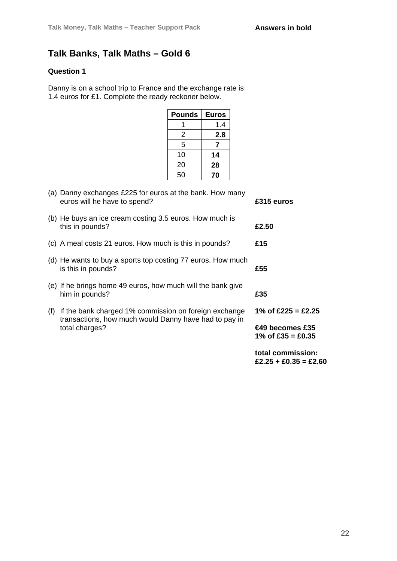### **Talk Banks, Talk Maths – Gold 6**

### **Question 1**

Danny is on a school trip to France and the exchange rate is 1.4 euros for £1. Complete the ready reckoner below.

| <b>Pounds</b> | <b>Euros</b> |
|---------------|--------------|
|               | 1.4          |
| 2             | 2.8          |
| 5             |              |
| 10            | 14           |
| 20            | 28           |
| 50            | 70           |

|     |                                                                                                                | total commission:<br>£2.25 + £0.35 = £2.60   |
|-----|----------------------------------------------------------------------------------------------------------------|----------------------------------------------|
|     | total charges?                                                                                                 | $\bigoplus$ becomes £35<br>1% of £35 = £0.35 |
| (f) | If the bank charged 1% commission on foreign exchange<br>transactions, how much would Danny have had to pay in | 1% of £225 = £2.25                           |
|     | (e) If he brings home 49 euros, how much will the bank give<br>him in pounds?                                  | £35                                          |
|     | (d) He wants to buy a sports top costing 77 euros. How much<br>is this in pounds?                              | £55                                          |
|     | (c) A meal costs 21 euros. How much is this in pounds?                                                         | £15                                          |
|     | (b) He buys an ice cream costing 3.5 euros. How much is<br>this in pounds?                                     | £2.50                                        |
|     | (a) Danny exchanges £225 for euros at the bank. How many<br>euros will he have to spend?                       | £315 euros                                   |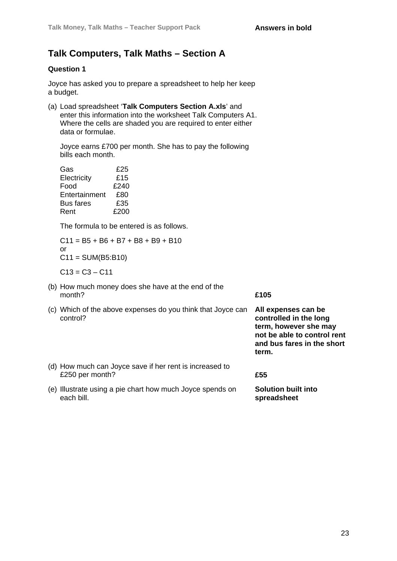**term, however she may not be able to control rent and bus fares in the short** 

**term.**

### **Talk Computers, Talk Maths – Section A**

### **Question 1**

Joyce has asked you to prepare a spreadsheet to help her keep a budget.

(a) Load spreadsheet '**Talk Computers Section A.xls**' and enter this information into the worksheet Talk Computers A1. Where the cells are shaded you are required to enter either data or formulae.

Joyce earns £700 per month. She has to pay the following bills each month.

| Gas              | £25  |
|------------------|------|
| Electricity      | £15  |
| Food             | £240 |
| Entertainment    | £80  |
| <b>Bus fares</b> | £35  |
| Rent             | £200 |

The formula to be entered is as follows.

 $C11 = B5 + B6 + B7 + B8 + B9 + B10$ or  $C11 = SUM(B5:B10)$ 

 $C13 = C3 - C11$ 

- (b) How much money does she have at the end of the month? **£105**
- (c) Which of the above expenses do you think that Joyce can control? **All expenses can be controlled in the long**
- (d) How much can Joyce save if her rent is increased to £250 per month? **£55**
- (e) Illustrate using a pie chart how much Joyce spends on each bill. **Solution built into spreadsheet**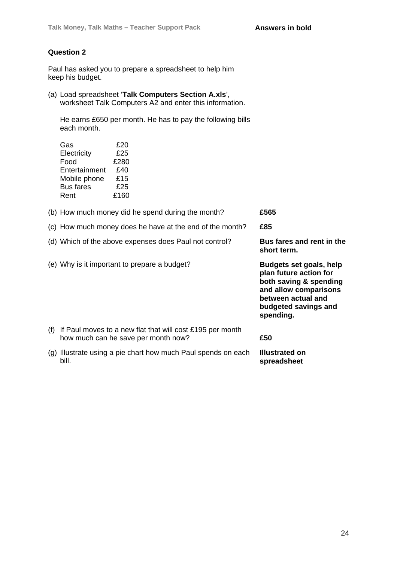Paul has asked you to prepare a spreadsheet to help him keep his budget.

(a) Load spreadsheet '**Talk Computers Section A.xls**', worksheet Talk Computers A2 and enter this information.

He earns £650 per month. He has to pay the following bills each month.

| Gas              | £20  |
|------------------|------|
| Electricity      | £25  |
| Food             | £280 |
| Entertainment    | £40  |
| Mobile phone     | £15  |
| <b>Bus fares</b> | £25  |
| Rent             | £160 |

|     | (b) How much money did he spend during the month?                                                | £565                                                                                                                                                            |
|-----|--------------------------------------------------------------------------------------------------|-----------------------------------------------------------------------------------------------------------------------------------------------------------------|
|     | (c) How much money does he have at the end of the month?                                         | £85                                                                                                                                                             |
|     | (d) Which of the above expenses does Paul not control?                                           | Bus fares and rent in the<br>short term.                                                                                                                        |
|     | (e) Why is it important to prepare a budget?                                                     | Budgets set goals, help<br>plan future action for<br>both saving & spending<br>and allow comparisons<br>between actual and<br>budgeted savings and<br>spending. |
| (f) | If Paul moves to a new flat that will cost £195 per month<br>how much can he save per month now? | £50                                                                                                                                                             |
|     | (g) Illustrate using a pie chart how much Paul spends on each<br>bill.                           | <b>Illustrated on</b><br>spreadsheet                                                                                                                            |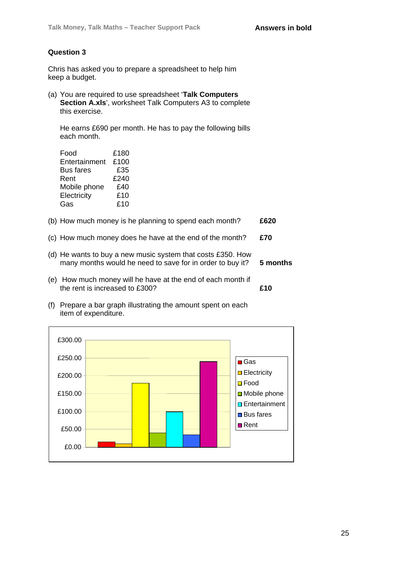Chris has asked you to prepare a spreadsheet to help him keep a budget.

(a) You are required to use spreadsheet '**Talk Computers Section A.xls**', worksheet Talk Computers A3 to complete this exercise.

He earns £690 per month. He has to pay the following bills each month.

| £180 |
|------|
| £100 |
| £35  |
| £240 |
| £40  |
| £10  |
| £10  |
|      |

- (b) How much money is he planning to spend each month? **£620**
- (c) How much money does he have at the end of the month? **£70**
- (d) He wants to buy a new music system that costs £350. How many months would he need to save for in order to buy it? **5 months**
- (e) How much money will he have at the end of each month if the rent is increased to £300? **£10**
- (f) Prepare a bar graph illustrating the amount spent on each item of expenditure.

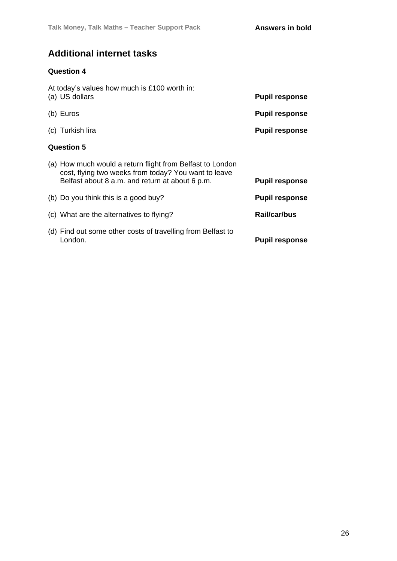### **Additional internet tasks**

### **Question 4**

|                   | At today's values how much is £100 worth in:<br>(a) US dollars                                                                                                       | <b>Pupil response</b> |  |
|-------------------|----------------------------------------------------------------------------------------------------------------------------------------------------------------------|-----------------------|--|
|                   | (b) Euros                                                                                                                                                            | <b>Pupil response</b> |  |
|                   | (c) Turkish lira                                                                                                                                                     | <b>Pupil response</b> |  |
| <b>Question 5</b> |                                                                                                                                                                      |                       |  |
|                   | (a) How much would a return flight from Belfast to London<br>cost, flying two weeks from today? You want to leave<br>Belfast about 8 a.m. and return at about 6 p.m. | <b>Pupil response</b> |  |
|                   | (b) Do you think this is a good buy?                                                                                                                                 | <b>Pupil response</b> |  |
|                   | (c) What are the alternatives to flying?                                                                                                                             | Rail/car/bus          |  |
|                   | (d) Find out some other costs of travelling from Belfast to<br>London.                                                                                               | <b>Pupil response</b> |  |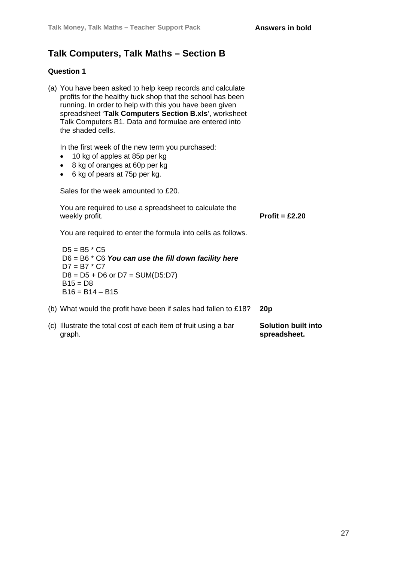### **Talk Computers, Talk Maths – Section B**

#### **Question 1**

(a) You have been asked to help keep records and calculate profits for the healthy tuck shop that the school has been running. In order to help with this you have been given spreadsheet '**Talk Computers Section B.xls**', worksheet Talk Computers B1. Data and formulae are entered into the shaded cells.

In the first week of the new term you purchased:

- 10 kg of apples at 85p per kg
- 8 kg of oranges at 60p per kg
- 6 kg of pears at 75p per kg.

Sales for the week amounted to £20.

You are required to use a spreadsheet to calculate the weekly profit. **Profit = £2.20** 

You are required to enter the formula into cells as follows.

 $D5 = B5 * C5$ D6 = B6 \* C6 *You can use the fill down facility here*  $D7 = B7 * C7$  $D8 = D5 + D6$  or  $D7 = SUM(D5:D7)$  $B15 = D8$  $B16 = B14 - B15$ 

- (b) What would the profit have been if sales had fallen to £18? **20p**
- (c) Illustrate the total cost of each item of fruit using a bar graph. **Solution built into spreadsheet.**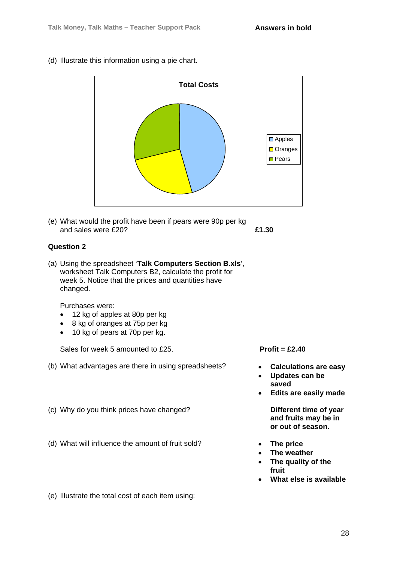(d) Illustrate this information using a pie chart.



(e) What would the profit have been if pears were 90p per kg and sales were £20? **£1.30**

### **Question 2**

(a) Using the spreadsheet '**Talk Computers Section B.xls**', worksheet Talk Computers B2, calculate the profit for week 5. Notice that the prices and quantities have changed.

Purchases were:

- 12 kg of apples at 80p per kg
- 8 kg of oranges at 75p per kg
- 10 kg of pears at 70p per kg.

Sales for week 5 amounted to £25. **Profit = £2.40** 

- (b) What advantages are there in using spreadsheets? **Calculations are easy**
- (c) Why do you think prices have changed? **Different time of year**
- (d) What will influence the amount of fruit sold? **The price**

- 
- **Updates can be saved**
- **Edits are easily made**

**and fruits may be in or out of season.** 

- 
- **The weather**
- **The quality of the fruit**
- **What else is available**

(e) Illustrate the total cost of each item using: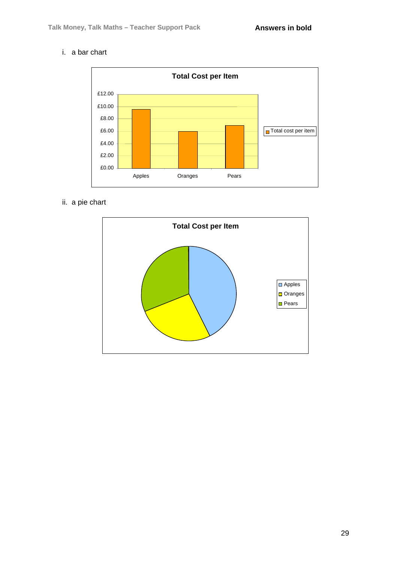### i. a bar chart



ii. a pie chart

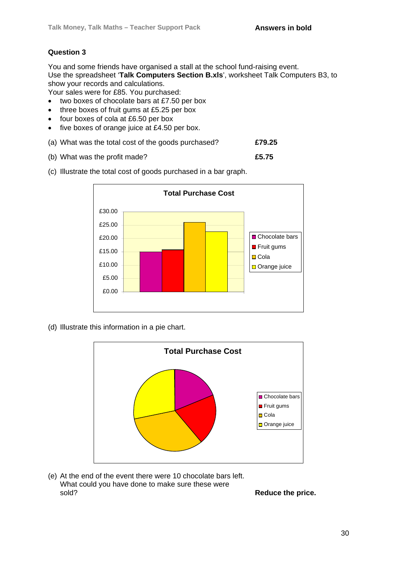You and some friends have organised a stall at the school fund-raising event. Use the spreadsheet '**Talk Computers Section B.xls**', worksheet Talk Computers B3, to show your records and calculations.

Your sales were for £85. You purchased:

- two boxes of chocolate bars at £7.50 per box
- three boxes of fruit gums at £5.25 per box
- four boxes of cola at £6.50 per box
- five boxes of orange juice at £4.50 per box.
- (a) What was the total cost of the goods purchased? **£79.25**
- (b) What was the profit made? **£5.75**



(c) Illustrate the total cost of goods purchased in a bar graph.

(d) Illustrate this information in a pie chart.



(e) At the end of the event there were 10 chocolate bars left. What could you have done to make sure these were sold? **Reduce the price.**